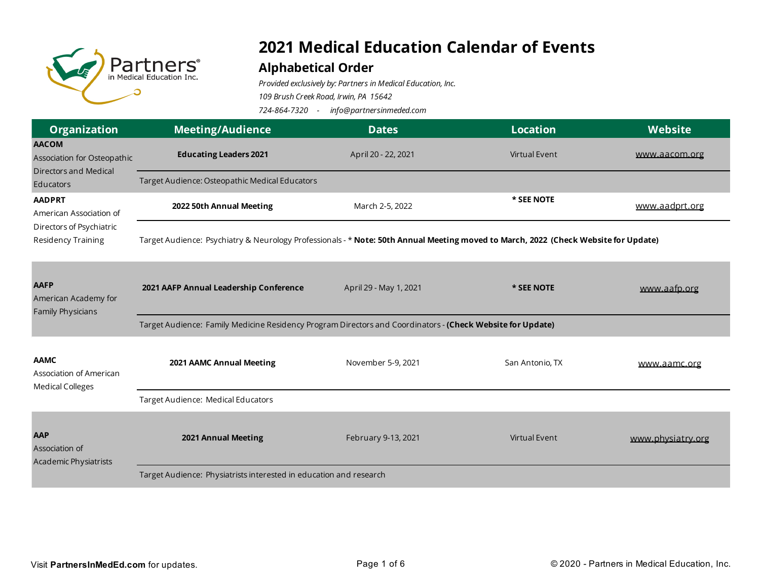

## **2021 Medical Education Calendar of Events**

## **Alphabetical Order**

*Provided exclusively by: Partners in Medical Education, Inc.*

*109 Brush Creek Road, Irwin, PA 15642*

*724-864-7320 - info@partnersinmeded.com* 

| <b>Organization</b>                                                                        | <b>Meeting/Audience</b>                                                                                                             | <b>Dates</b>           | <b>Location</b>      | Website           |
|--------------------------------------------------------------------------------------------|-------------------------------------------------------------------------------------------------------------------------------------|------------------------|----------------------|-------------------|
| <b>AACOM</b><br>Association for Osteopathic<br>Directors and Medical<br>Educators          | <b>Educating Leaders 2021</b>                                                                                                       | April 20 - 22, 2021    | <b>Virtual Event</b> | www.aacom.org     |
|                                                                                            | Target Audience: Osteopathic Medical Educators                                                                                      |                        |                      |                   |
| <b>AADPRT</b><br>American Association of<br>Directors of Psychiatric<br>Residency Training | 2022 50th Annual Meeting                                                                                                            | March 2-5, 2022        | * SEE NOTE           | www.aadprt.org    |
|                                                                                            | Target Audience: Psychiatry & Neurology Professionals - * Note: 50th Annual Meeting moved to March, 2022 (Check Website for Update) |                        |                      |                   |
| <b>AAFP</b><br>American Academy for<br>Family Physicians                                   | 2021 AAFP Annual Leadership Conference                                                                                              | April 29 - May 1, 2021 | * SEE NOTE           | www.aafp.org      |
|                                                                                            | Target Audience: Family Medicine Residency Program Directors and Coordinators - (Check Website for Update)                          |                        |                      |                   |
| <b>AAMC</b><br>Association of American<br><b>Medical Colleges</b>                          | 2021 AAMC Annual Meeting                                                                                                            | November 5-9, 2021     | San Antonio, TX      | www.aamc.org      |
|                                                                                            | Target Audience: Medical Educators                                                                                                  |                        |                      |                   |
| <b>AAP</b><br>Association of<br>Academic Physiatrists                                      | 2021 Annual Meeting                                                                                                                 | February 9-13, 2021    | <b>Virtual Event</b> | www.physiatry.org |
|                                                                                            | Target Audience: Physiatrists interested in education and research                                                                  |                        |                      |                   |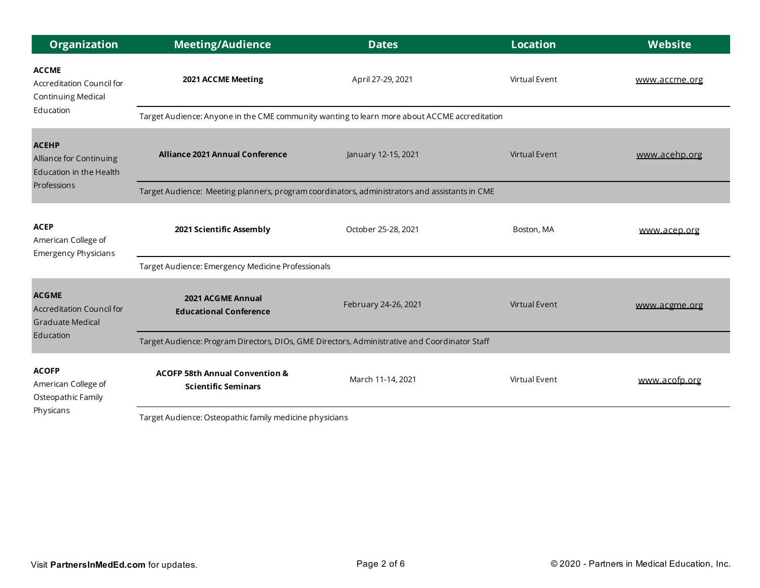| <b>Organization</b>                                                                      | <b>Meeting/Audience</b>                                                                       | <b>Dates</b>         | <b>Location</b>      | <b>Website</b> |
|------------------------------------------------------------------------------------------|-----------------------------------------------------------------------------------------------|----------------------|----------------------|----------------|
| <b>ACCME</b><br>Accreditation Council for<br><b>Continuing Medical</b><br>Education      | 2021 ACCME Meeting                                                                            | April 27-29, 2021    | Virtual Event        | www.accme.org  |
|                                                                                          | Target Audience: Anyone in the CME community wanting to learn more about ACCME accreditation  |                      |                      |                |
| <b>ACEHP</b><br>Alliance for Continuing<br>Education in the Health<br>Professions        | <b>Alliance 2021 Annual Conference</b>                                                        | January 12-15, 2021  | <b>Virtual Event</b> | www.acehp.org  |
|                                                                                          | Target Audience: Meeting planners, program coordinators, administrators and assistants in CME |                      |                      |                |
| <b>ACEP</b><br>American College of<br><b>Emergency Physicians</b>                        | 2021 Scientific Assembly                                                                      | October 25-28, 2021  | Boston, MA           | www.acep.org   |
|                                                                                          | Target Audience: Emergency Medicine Professionals                                             |                      |                      |                |
| <b>ACGME</b><br><b>Accreditation Council for</b><br><b>Graduate Medical</b><br>Education | 2021 ACGME Annual<br><b>Educational Conference</b>                                            | February 24-26, 2021 | <b>Virtual Event</b> | www.acgme.org  |
|                                                                                          | Target Audience: Program Directors, DIOs, GME Directors, Administrative and Coordinator Staff |                      |                      |                |
| <b>ACOFP</b><br>American College of<br>Osteopathic Family<br>Physicans                   | <b>ACOFP 58th Annual Convention &amp;</b><br><b>Scientific Seminars</b>                       | March 11-14, 2021    | Virtual Event        | www.acofp.org  |
|                                                                                          | Target Audience: Osteopathic family medicine physicians                                       |                      |                      |                |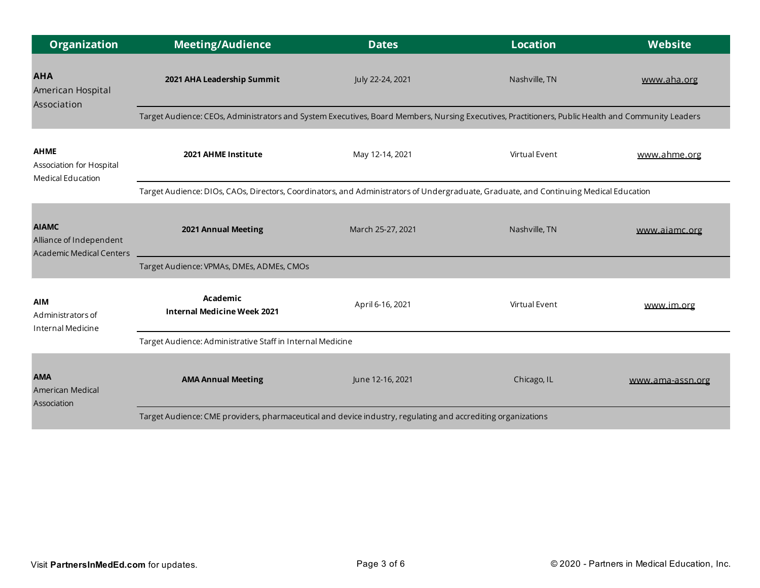| <b>Organization</b>                                                        | <b>Meeting/Audience</b>                                                                                                                            | <b>Dates</b>      | <b>Location</b> | Website          |  |
|----------------------------------------------------------------------------|----------------------------------------------------------------------------------------------------------------------------------------------------|-------------------|-----------------|------------------|--|
| <b>AHA</b><br>American Hospital<br>Association                             | 2021 AHA Leadership Summit                                                                                                                         | July 22-24, 2021  | Nashville, TN   | www.aha.org      |  |
|                                                                            | Target Audience: CEOs, Administrators and System Executives, Board Members, Nursing Executives, Practitioners, Public Health and Community Leaders |                   |                 |                  |  |
| <b>AHME</b><br>Association for Hospital<br>Medical Education               | 2021 AHME Institute                                                                                                                                | May 12-14, 2021   | Virtual Event   | www.ahme.org     |  |
|                                                                            | Target Audience: DIOs, CAOs, Directors, Coordinators, and Administrators of Undergraduate, Graduate, and Continuing Medical Education              |                   |                 |                  |  |
| <b>AIAMC</b><br>Alliance of Independent<br><b>Academic Medical Centers</b> | 2021 Annual Meeting                                                                                                                                | March 25-27, 2021 | Nashville, TN   | www.aiamc.org    |  |
|                                                                            | Target Audience: VPMAs, DMEs, ADMEs, CMOs                                                                                                          |                   |                 |                  |  |
| <b>AIM</b><br>Administrators of<br>Internal Medicine                       | Academic<br><b>Internal Medicine Week 2021</b>                                                                                                     | April 6-16, 2021  | Virtual Event   | www.im.org       |  |
|                                                                            | Target Audience: Administrative Staff in Internal Medicine                                                                                         |                   |                 |                  |  |
| <b>AMA</b><br>American Medical<br>Association                              | <b>AMA Annual Meeting</b>                                                                                                                          | June 12-16, 2021  | Chicago, IL     | www.ama-assn.org |  |
|                                                                            | Target Audience: CME providers, pharmaceutical and device industry, regulating and accrediting organizations                                       |                   |                 |                  |  |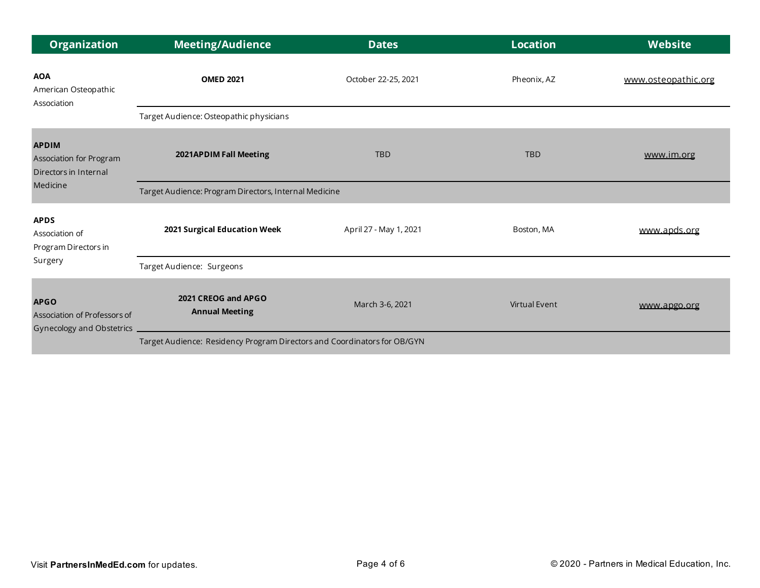| <b>Organization</b>                                                          | <b>Meeting/Audience</b>                                                  | <b>Dates</b>           | <b>Location</b>      | <b>Website</b>      |
|------------------------------------------------------------------------------|--------------------------------------------------------------------------|------------------------|----------------------|---------------------|
| <b>AOA</b><br>American Osteopathic<br>Association                            | <b>OMED 2021</b>                                                         | October 22-25, 2021    | Pheonix, AZ          | www.osteopathic.org |
|                                                                              | Target Audience: Osteopathic physicians                                  |                        |                      |                     |
| <b>APDIM</b><br>Association for Program<br>Directors in Internal<br>Medicine | 2021APDIM Fall Meeting                                                   | <b>TBD</b>             | <b>TBD</b>           | www.im.org          |
|                                                                              | Target Audience: Program Directors, Internal Medicine                    |                        |                      |                     |
| <b>APDS</b><br>Association of<br>Program Directors in<br>Surgery             | 2021 Surgical Education Week                                             | April 27 - May 1, 2021 | Boston, MA           | www.apds.org        |
|                                                                              | Target Audience: Surgeons                                                |                        |                      |                     |
| <b>APGO</b><br>Association of Professors of<br>Gynecology and Obstetrics     | 2021 CREOG and APGO<br><b>Annual Meeting</b>                             | March 3-6, 2021        | <b>Virtual Event</b> | www.apgo.org        |
|                                                                              | Target Audience: Residency Program Directors and Coordinators for OB/GYN |                        |                      |                     |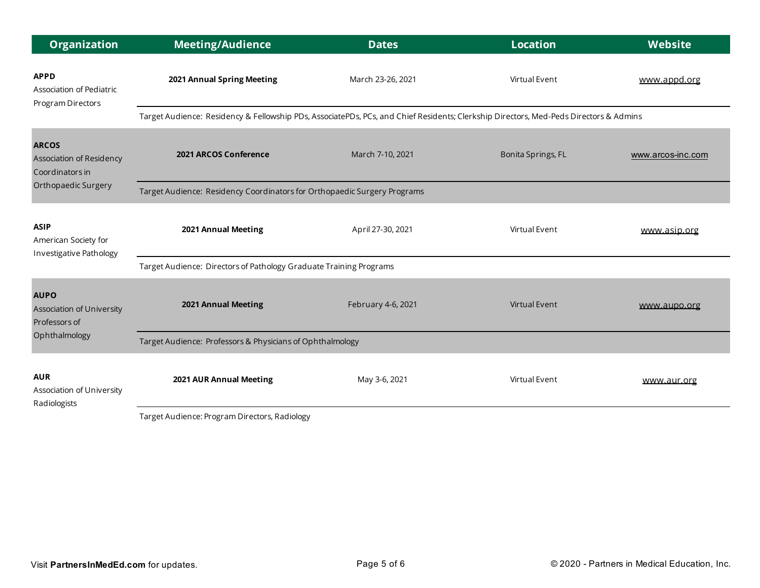| <b>Organization</b>                                            | <b>Meeting/Audience</b>                                                                                                                            | <b>Dates</b>       | <b>Location</b>    | <b>Website</b>    |  |
|----------------------------------------------------------------|----------------------------------------------------------------------------------------------------------------------------------------------------|--------------------|--------------------|-------------------|--|
| <b>APPD</b><br>Association of Pediatric<br>Program Directors   | 2021 Annual Spring Meeting                                                                                                                         | March 23-26, 2021  | Virtual Event      | www.appd.org      |  |
|                                                                | Target Audience: Residency & Fellowship PDs, AssociatePDs, PCs, and Chief Residents; Clerkship Directors, Med-Peds Directors & Admins              |                    |                    |                   |  |
| <b>ARCOS</b><br>Association of Residency<br>Coordinators in    | 2021 ARCOS Conference                                                                                                                              | March 7-10, 2021   | Bonita Springs, FL | www.arcos-inc.com |  |
| Orthopaedic Surgery                                            | Target Audience: Residency Coordinators for Orthopaedic Surgery Programs                                                                           |                    |                    |                   |  |
| <b>ASIP</b><br>American Society for<br>Investigative Pathology | 2021 Annual Meeting                                                                                                                                | April 27-30, 2021  | Virtual Event      | www.asip.org      |  |
|                                                                | Target Audience: Directors of Pathology Graduate Training Programs                                                                                 |                    |                    |                   |  |
| <b>AUPO</b><br>Association of University<br>Professors of      | 2021 Annual Meeting                                                                                                                                | February 4-6, 2021 | Virtual Event      | www.aupo.org      |  |
| Ophthalmology                                                  | Target Audience: Professors & Physicians of Ophthalmology                                                                                          |                    |                    |                   |  |
| <b>AUR</b><br>Association of University<br>Radiologists        | 2021 AUR Annual Meeting<br>$\mathcal{L}$ , and the set of $\mathbf{R}$ , and $\mathbf{R}$ , and $\mathbf{R}$ , and $\mathbf{R}$ , and $\mathbf{R}$ | May 3-6, 2021      | Virtual Event      | www.aur.org       |  |

Target Audience: Program Directors, Radiology